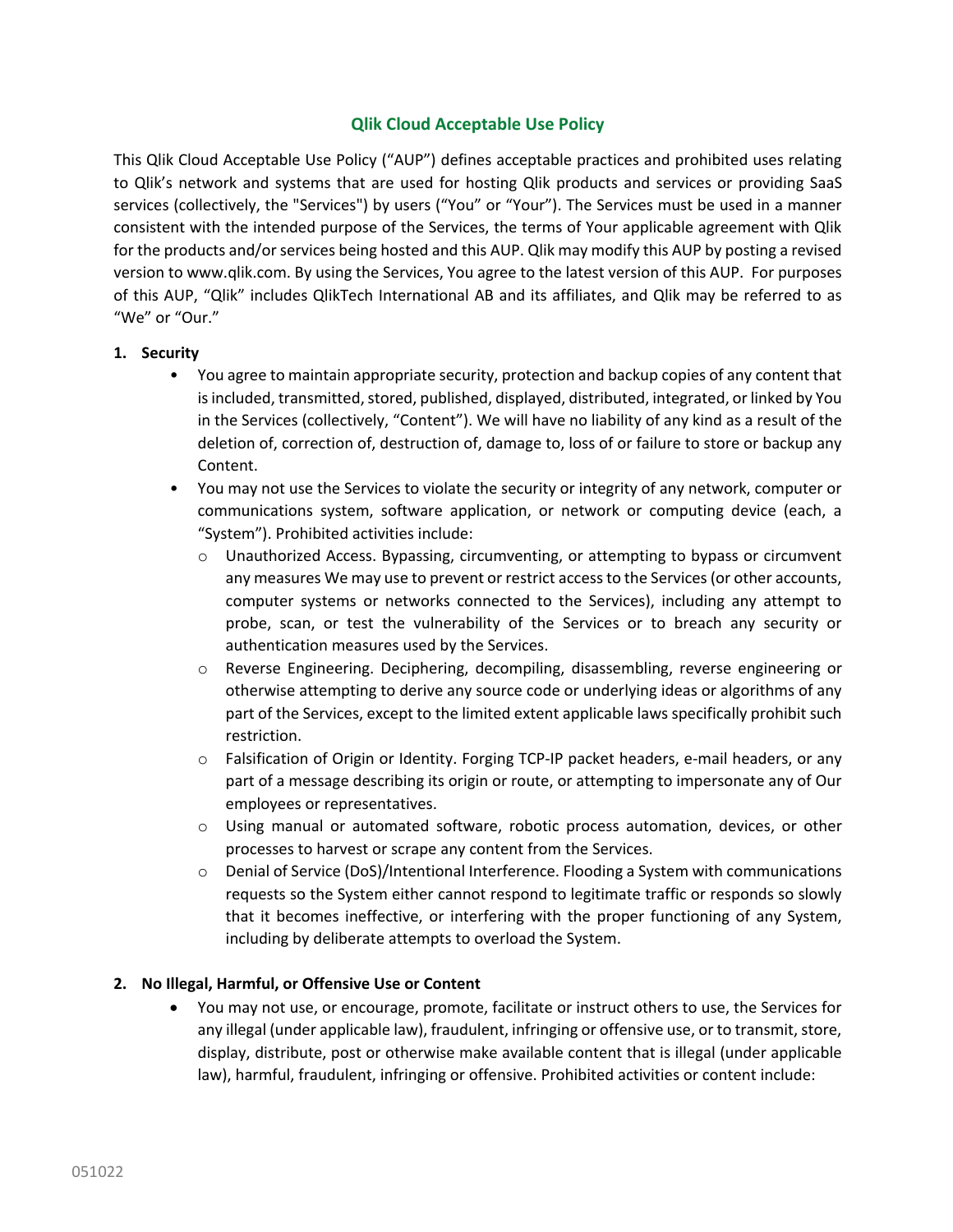# **Qlik Cloud Acceptable Use Policy**

This Qlik Cloud Acceptable Use Policy ("AUP") defines acceptable practices and prohibited uses relating to Qlik's network and systems that are used for hosting Qlik products and services or providing SaaS services (collectively, the "Services") by users ("You" or "Your"). The Services must be used in a manner consistent with the intended purpose of the Services, the terms of Your applicable agreement with Qlik for the products and/or services being hosted and this AUP. Qlik may modify this AUP by posting a revised version to www.qlik.com. By using the Services, You agree to the latest version of this AUP. For purposes of this AUP, "Qlik" includes QlikTech International AB and its affiliates, and Qlik may be referred to as "We" or "Our."

### **1. Security**

- You agree to maintain appropriate security, protection and backup copies of any content that is included, transmitted, stored, published, displayed, distributed, integrated, or linked by You in the Services (collectively, "Content"). We will have no liability of any kind as a result of the deletion of, correction of, destruction of, damage to, loss of or failure to store or backup any Content.
- You may not use the Services to violate the security or integrity of any network, computer or communications system, software application, or network or computing device (each, a "System"). Prohibited activities include:
	- o Unauthorized Access. Bypassing, circumventing, or attempting to bypass or circumvent any measures We may use to prevent or restrict access to the Services (or other accounts, computer systems or networks connected to the Services), including any attempt to probe, scan, or test the vulnerability of the Services or to breach any security or authentication measures used by the Services.
	- o Reverse Engineering. Deciphering, decompiling, disassembling, reverse engineering or otherwise attempting to derive any source code or underlying ideas or algorithms of any part of the Services, except to the limited extent applicable laws specifically prohibit such restriction.
	- o Falsification of Origin or Identity. Forging TCP-IP packet headers, e-mail headers, or any part of a message describing its origin or route, or attempting to impersonate any of Our employees or representatives.
	- o Using manual or automated software, robotic process automation, devices, or other processes to harvest or scrape any content from the Services.
	- o Denial of Service (DoS)/Intentional Interference. Flooding a System with communications requests so the System either cannot respond to legitimate traffic or responds so slowly that it becomes ineffective, or interfering with the proper functioning of any System, including by deliberate attempts to overload the System.

#### **2. No Illegal, Harmful, or Offensive Use or Content**

• You may not use, or encourage, promote, facilitate or instruct others to use, the Services for any illegal (under applicable law), fraudulent, infringing or offensive use, or to transmit, store, display, distribute, post or otherwise make available content that is illegal (under applicable law), harmful, fraudulent, infringing or offensive. Prohibited activities or content include: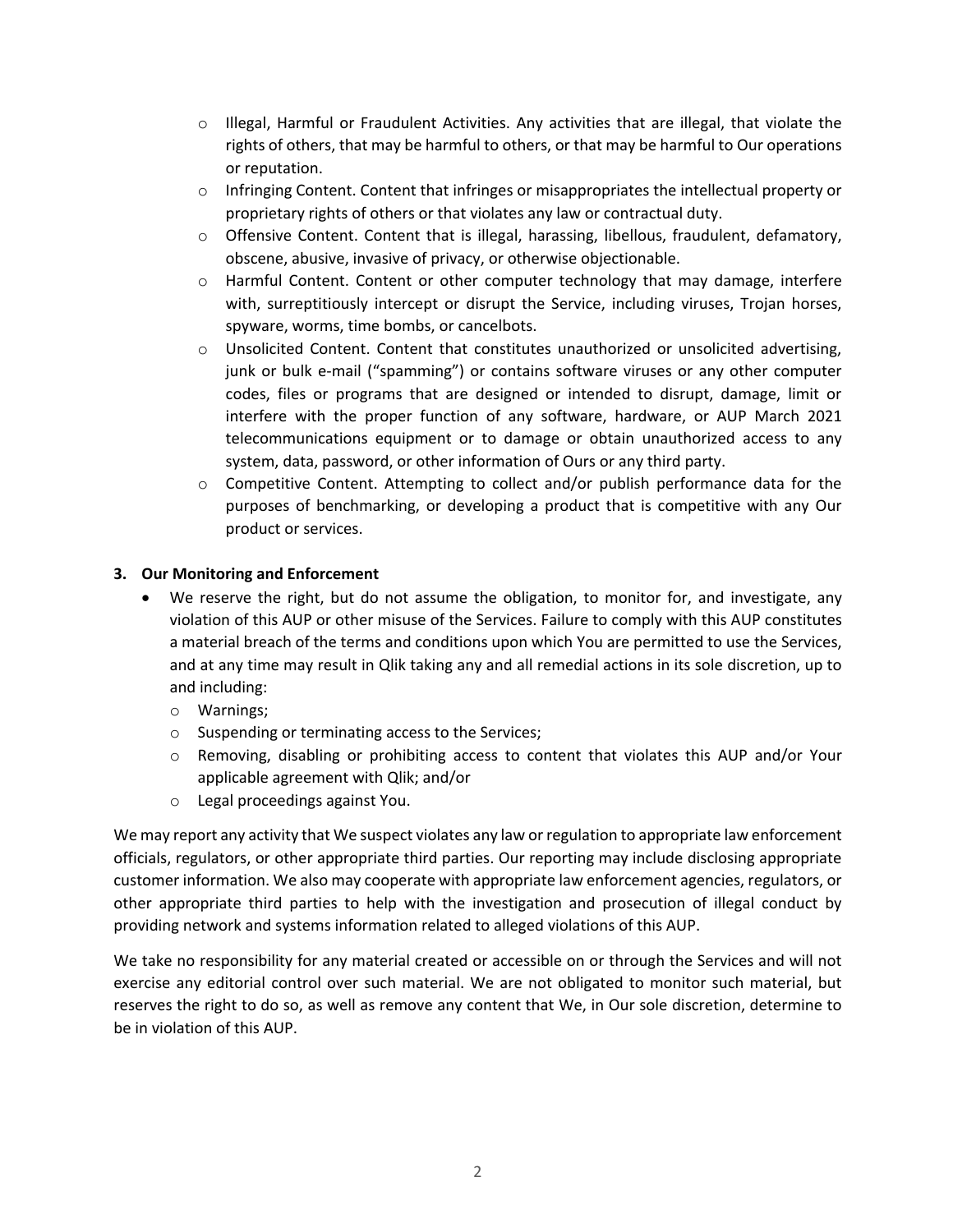- $\circ$  Illegal, Harmful or Fraudulent Activities. Any activities that are illegal, that violate the rights of others, that may be harmful to others, or that may be harmful to Our operations or reputation.
- o Infringing Content. Content that infringes or misappropriates the intellectual property or proprietary rights of others or that violates any law or contractual duty.
- o Offensive Content. Content that is illegal, harassing, libellous, fraudulent, defamatory, obscene, abusive, invasive of privacy, or otherwise objectionable.
- o Harmful Content. Content or other computer technology that may damage, interfere with, surreptitiously intercept or disrupt the Service, including viruses, Trojan horses, spyware, worms, time bombs, or cancelbots.
- o Unsolicited Content. Content that constitutes unauthorized or unsolicited advertising, junk or bulk e-mail ("spamming") or contains software viruses or any other computer codes, files or programs that are designed or intended to disrupt, damage, limit or interfere with the proper function of any software, hardware, or AUP March 2021 telecommunications equipment or to damage or obtain unauthorized access to any system, data, password, or other information of Ours or any third party.
- o Competitive Content. Attempting to collect and/or publish performance data for the purposes of benchmarking, or developing a product that is competitive with any Our product or services.

# **3. Our Monitoring and Enforcement**

- We reserve the right, but do not assume the obligation, to monitor for, and investigate, any violation of this AUP or other misuse of the Services. Failure to comply with this AUP constitutes a material breach of the terms and conditions upon which You are permitted to use the Services, and at any time may result in Qlik taking any and all remedial actions in its sole discretion, up to and including:
	- o Warnings;
	- o Suspending or terminating access to the Services;
	- o Removing, disabling or prohibiting access to content that violates this AUP and/or Your applicable agreement with Qlik; and/or
	- o Legal proceedings against You.

We may report any activity that We suspect violates any law or regulation to appropriate law enforcement officials, regulators, or other appropriate third parties. Our reporting may include disclosing appropriate customer information. We also may cooperate with appropriate law enforcement agencies, regulators, or other appropriate third parties to help with the investigation and prosecution of illegal conduct by providing network and systems information related to alleged violations of this AUP.

We take no responsibility for any material created or accessible on or through the Services and will not exercise any editorial control over such material. We are not obligated to monitor such material, but reserves the right to do so, as well as remove any content that We, in Our sole discretion, determine to be in violation of this AUP.